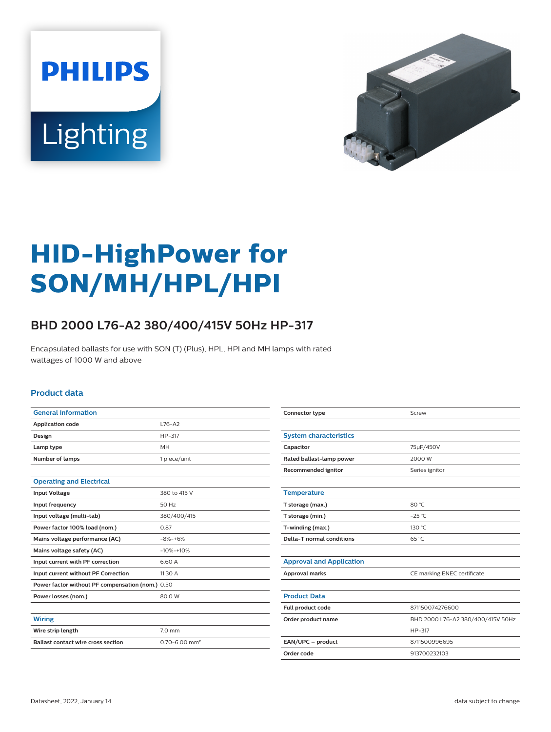



# **HID-HighPower for SON/MH/HPL/HPI**

## **BHD 2000 L76-A2 380/400/415V 50Hz HP-317**

Encapsulated ballasts for use with SON (T) (Plus), HPL, HPI and MH lamps with rated wattages of 1000 W and above

#### **Product data**

| <b>General Information</b>                       |                               |
|--------------------------------------------------|-------------------------------|
| <b>Application code</b>                          | $L76-A2$                      |
| Design                                           | HP-317                        |
| Lamp type                                        | <b>MH</b>                     |
| <b>Number of lamps</b>                           | 1 piece/unit                  |
|                                                  |                               |
| <b>Operating and Electrical</b>                  |                               |
| <b>Input Voltage</b>                             | 380 to 415 V                  |
| Input frequency                                  | 50 Hz                         |
| Input voltage (multi-tab)                        | 380/400/415                   |
| Power factor 100% load (nom.)                    | 0.87                          |
| Mains voltage performance (AC)                   | $-8% -+6%$                    |
| Mains voltage safety (AC)                        | $-10% + 10%$                  |
| Input current with PF correction                 | 6.60 A                        |
| Input current without PF Correction              | 11.30 A                       |
| Power factor without PF compensation (nom.) 0.50 |                               |
| Power losses (nom.)                              | 80.0 W                        |
|                                                  |                               |
| <b>Wiring</b>                                    |                               |
| Wire strip length                                | 7.0 mm                        |
| <b>Ballast contact wire cross section</b>        | $0.70 - 6.00$ mm <sup>2</sup> |

| Connector type                  | Screw                             |  |
|---------------------------------|-----------------------------------|--|
|                                 |                                   |  |
| <b>System characteristics</b>   |                                   |  |
| Capacitor                       | 75µF/450V                         |  |
| Rated ballast-lamp power        | 2000 W                            |  |
| Recommended ignitor             | Series ignitor                    |  |
|                                 |                                   |  |
| <b>Temperature</b>              |                                   |  |
| T storage (max.)                | 80 °C                             |  |
| T storage (min.)                | $-25$ °C                          |  |
| T-winding (max.)                | 130 °C                            |  |
| Delta-T normal conditions       | $65^{\circ}$ C                    |  |
|                                 |                                   |  |
| <b>Approval and Application</b> |                                   |  |
| <b>Approval marks</b>           | CE marking ENEC certificate       |  |
|                                 |                                   |  |
| <b>Product Data</b>             |                                   |  |
| Full product code               | 871150074276600                   |  |
| Order product name              | BHD 2000 L76-A2 380/400/415V 50Hz |  |
|                                 | HP-317                            |  |
| EAN/UPC - product               | 8711500996695                     |  |
| Order code                      | 913700232103                      |  |
|                                 |                                   |  |